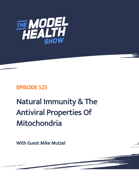

## EPISODE 525

# Natural Immunity & The Antiviral Properties Of Mitochondria

With Guest Mike Mutzel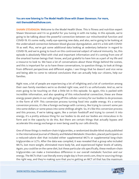### You are now listening to The Model Health Show with Shawn Stevenson. For more, visit themodelhealthshow.com.

**SHAWN STEVENSON:** Welcome to the Model Health Show. This is fitness and nutrition expert Shawn Stevenson and I'm so grateful for you tuning in with me today. In this episode, we're going to be talking about the powerful connection between our mitochondrial function and COVID-19. It's some really, really eye-opening new data, and also, we're going to be looking at the undervalued connection between blood glucose dysregulation, and it's a link with COVID-19 as well. Plus, we've got some additional data looking at sedentary behavior in regard to COVID-19, and we're going to touch on this controversial subject of natural immunity. So, this episode is absolutely filled with vital and important information and it's coming from one of the smartest human beings that I know, and just grateful to have him as a part of my life and a resource to look to. We have a lot of conversations about these things behind the scenes, and this is important for us to have these conversations, to question things, to look at things from different perspectives and different angles. I see things that he doesn't and vice versa and being able to come to rational conclusions that can actually help our citizens, help our families.

Right now, a lot of people are experiencing a lot of infighting and a lot of contention among their own family members we're so divided right now, and it's so unfortunate. And so, we're even going to be touching on that a little bit in this episode. So again, this is packed with incredible information, and also speaking of this mitochondrial connection, these are these energy power plants in our cells giving off this cellular currency for our bodies to do processes in the form of ATP. This conversion process turning food into usable energy. It's a serious conversion process, it's like a foreign exchange with currency, like trying to convert some yen into some dollars or some pesos into some shillings alright. So, it's like this conversion process and this process, if we're taking again, like a certain foodstuff and trying to convert it into energy, it's a pretty arduous thing for our bodies to do and our bodies are miraculous in its form and in the capacity to do this. But there are certain things that actually bypass and accelerate this energy exchange or even being used by our cells directly.

One of those things is medium-chain triglycerides, a randomized double-blind study published in the International Journal of Obesity and Related Metabolic Disorders, placed participants on a reduced-calorie diet that included either supplemental MCTs or supplemental long-chain triglycerides or LCTs. After the data was compiled, it was revealed that a group who included MCTs, lost more weight, eliminated more body fat, and experienced higher levels of satiety. Again, you could be on the same diet, but these particular oils specifically, these medium-chain triglycerides can make a tremendous difference in our overall metabolic function and our energy. The MCTs that I use literally every single day is from onnit.com, they're sourcing things [the right way, and they](https://themodelhealthshow.com/mike-mutzel-natural-immunity/)'[re making sure that you](https://themodelhealthshow.com/mike-mutzel-natural-immunity/)'[re getting an MCT oil that has the maximum](https://themodelhealthshow.com/mike-mutzel-natural-immunity/) 

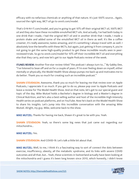efficacy with no nefarious chemicals or anything of that nature. It's just 100% source... Again, sourced the right way, MCT oil go to onnit.com/model.

That's O-N-N-I-T.com/model, and you're going to get 10% off their original MCT oil, 100% MCT oil and they also have these incredible emulsified MCT oils. And actually, I've had both today in one drink that I made, I had the original MCT oil and in another drink that I made, I made a protein shake and added some of the emulsified MCT oil in there as well. It's like a coffee creamer, it's really awesome, tastes amazing, and it's something I always travel with as well. I absolutely love the benefits with these MCTs, but again, just getting it from company X, you're not going to get the same high-quality product to get these incredible results seen in peerreviewed trials. So go to onnit.com/model for 10% off their incredible MCT oil and everything else that they carry, and now let's get to our Apple Podcasts review of the week.

ITUNES REVIEW: Another five-star review titled "the podcast I always turn to..." By Gabby Dee, "I've listened to Sean off and on for a couple of years. If I'm ever feeling down on myself, either mentally or physically, the Model Health Show always pumps me back up and motivates me to do better. Thank you so much for creating such an incredible podcast."

**SHAWN STEVENSON:** Awesome, thank you so much for leaving me that review over on Apple Podcasts, I appreciate it so much. If you get to do so, please pop over to Apple Podcasts and leave a review for The Model Health Show. And on that note, let's get to our special guest and topic of the day. Mike Mutzel holds a Bachelor's degree in biology and a Master's degree in Clinical Nutrition, and he's also a best-selling author and host of the incredible High-Intensity Health series on podcast platforms, and on YouTube. Now he's back on the Model Health Show to share his insights. Let's jump into this incredible conversation with the amazing Mike Mutzel. Alright, my guy. Mike, welcome back to the show.

MIKE MUTZEL: Thanks for having me back, Shawn it's great to be with you. Yeah.

**SHAWN STEVENSON:** Yeah, so there's some big news that just came out regarding our mitochondria...

#### MIKE MUTZEL: Yes.

SHAWN STEVENSON: And COVID-19. Let's talk a little bit about that.

MIKE MUTZEL: Well, to me, I think it's a fascinating way to sort of connect the dots between exercise, insufficiency, obesity, all the metabolic syndrome, and its links with severe COVID outcomes and all that, but... Yeah, these scientists in Switzerland actually have been looking at the mitochondria and I guess it's been long known since 2010, which honestly, I didn't know

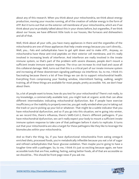about any of this research. When you think about your mitochondria, we think about energy production, moving your muscles running, all of the creation of cellular energy in the form of ATP. But it turns out that on the exterior cell membrane of your mitochondria, which are if we think about you've probably talked about this in your shows before, but organelles, if we think about our house, we have different little tools in our houses, like furnaces and dishwashers and all of that.

Well, think about all your cells, you have many appliances in there and the organelles of the mitochondria are one of those appliances that help create energy because you can't directly... Well, you... Fats and carbohydrates have to get split down and to make ATP... Anyway, so mitochondria have these anti-viral peptides on their exterior cell membrane, and it's really involved in increasing levels of interferon. And interferon are really involved in the innate immune system, so that's part of the problem with severe diseases, people don't mount a sufficient innate immune system response. The virus can increase its viral load and cause all this collateral damage. Well, turns out that this is a critical part of our innate immune system and increasing all these downstream signaling pathways via interferon. So, to me, I think it's fascinating because there's a lot of free things we can do to support mitochondrial health. Everything from compressing your feeding window, intermittent fasting, walking, weight training, all of these things are available for most people, pretty accessible. Yet, we don't hear about them.

So, a lot of people want to know, how do you test for your mitochondria? There's not really, to my knowledge, a commercially available test, you might look at organic acids that can allow different intermediates indicating mitochondrial dysfunction. But if people have exercise insufficiency or the inability to properly exercise, you get really winded when you're taking out the trash or you're picking up your kid or whatever. That might be a subtle indicator that you have mitochondrial dysfunction, and so if you go into this situation, we're going into winter, as we record this, there's influenza, there's SARS-CoV-2, there's different pathogens. If you have mitochondrial dysfunction, we can't really expect your body to mount a sufficient innate immune system response to take care of that pathogen before it starts to replicate. It turns out that your mitochondria are also a target for these pathogens like they like to leverage the biomolecules within your mitochondria.

And so that's the thing. So, if you have dysfunctional mitochondria from eating omega-6 enriched diets, processed foods, you're metabolically inflexible because you eat a lot of sugar and refined carbohydrates that favor glucose oxidation. Then maybe you're going to have a tougher time with a pathogen. So, to me, I think it's just so exciting because again, we have accessible tools that are free, walking, fasting, eating better foods, all of that are accessible so we should be... This should be front-page news if you ask me.

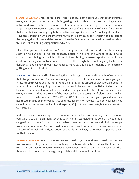**SHAWN STEVENSON:** Yes. I agree I agree. And it's because of folks like you that are making this news, and it just makes sense, this is getting back to things that are very logical. Our mitochondria are really these generators of our energy, our immune system requires energy, it's just a basic connective tissue right there, and so if we're having insufficient functions in that area, obviously we're going to be at a disadvantage. And so, if we're looking at... And also, I love this connection with the interferons, which is a critical aspect of being able to defend the body against viruses and the like, and I love the fact here that we can do something about this and just something very practical, which is...

I love that you mentioned, we don't necessarily have a test, but we do, which is paying attention to our bodies. We can probably notice if we're feeling winded easily if we're venturing into being overweight a little bit into obesity, or we're experiencing a chronic condition, having some auto-immune issues, that there might be something very likely, some deficiency happening with our mitochondria, right. So, this is again, nudging us into actually getting our citizens healthier.

**MIKE MUTZEL:** Totally, and it's interesting that you brought that up and I thought of something that I forgot to mention. Our liver and our gut have a lot of mitochondria, so your gut, your intestines are moving, and the motility and peristalsis, all the aspects of digestion, and so forth. So a lot of people have gut dysfunction, so that could be another potential indicator, but the liver is really enriched in mitochondria, and so a simple blood test, and I recommend blood work, and we can dive into some of the nuances here. The category of blood tests, the liver function tests, really common, AST, ALT, and GGT. So, any time you go to your doctor or a healthcare practitioner, or you just go to directlabs.com, or however, you get your labs. You should run a comprehensive liver function panel, it's just these three tests, but when they start to increase...

And these are just units, it's just international units per liter, so when they start to increase over 25 or 30, that is an indicator that your liver is accumulating fat. And that would be a suggestion that the mitochondria are unable to keep up with the demand of all the supply from insulin resistance. So that could be a proxy as well, so fatty liver disease would be an indicator of mitochondrial dysfunction specifically in the liver, so I encourage people to test for that for sure.

**SHAWN STEVENSON:** Yeah. That makes sense as well. So, you mentioned as well that one way to encourage healthy mitochondria function production is a little bit of intermittent fasting or restricting our feeding windows. We have those benefits with autophagy, obviously, but then there's another aspect, mitophagy, can you talk a little bit about that too?

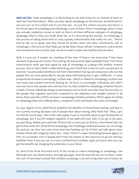MIKE MUTZEL: Yeah, autophagy is so fascinating to me, and I know it's an interest of yours as well, but if we think about... When you hear about autophagy on the internet, we think that it's just you turn on this switch and it's just this one... It's just this uniform process, but there's a lot of sub-types of autophagy and mitophagy is one of them. There's xenophagy, which is how you actually catabolize viruses as well, so there's all these different subtypes of autophagy, lipophagy, which is how you break down fat, so it's fascinating but anyway. So mitophagy is the process of taking those kind of rusty squeaky mitochondria that really are not... They're kind of old, so to speak, and they should be broken down into their constituents, and so mitophagy is this process that helps you break down those cellular components and proteins and membranes and so forth, that can be re-used to make new healthy mitochondria.

Well, it turns out if people are snacking all the time if they're not exercising if they have elevated of glucose and insulin from eating ultra-processed hyper-palatable food. Then those mitochondria never get that signal by way of mitophagy to undergo this healthy renewal process. And so that's what's really interesting, and I think this is why I'm such a proponent of exercise. I've personally benefited a lot from intermittent fasting and eating low-carb, but the people that are more physically fit can get away with fasting less to get a different... A more proportional increase in autophagy, so there was... Which is related to mitophagy, so there was one study that tracked interment fasting for 36 hours in overweight individuals who didn't exercise versus lean people who did exercise. So, they looked for autophagy initiation factors in both of those individuals doing muscle biopsies and so forth, and what they found is that, in the people that regularly exercised compared to the sedentary over-weight controls in 36 hours, there was like a 300% increase in autophagy initiation proteins. Which again are linked to mitophagy that we're talking about, compared to the individuals who were overweight.

So, your degree of so-called fitness amplifies the benefits of intermittent fasting, and that to me is pretty exciting because a lot of people hear about fasting, they think that "Okay, I got too fast for seven days." We're like, well maybe if you're morbidly obese to get the benefits of autophagy, but if you lift weights regularly, if you walk with your kids, if you go to the park, you go hiking. Maybe just a periodic 36-hour fast or even just an 18-hour intermittent fast can get to that same sort of beneficial autophagy and mitophagy-related processes. So, I'm a huge fan and we can dive into early time-restricted feeding and all of that and talk about some studies linked with longevity there, but... Yeah, I think it's super interesting because again, it's free, it's accessible, even if people don't have the means or the resources to go out and buy healthier food. If you just eat in a more confined short window, eight, six hours, then you can get the benefits by changing the substrates in your blood.

So, kind of the three hormonal sorts of the recipe to induce mitophagy or autophagy. Low blood glucose, low blood insulin, and high glucagon. And the way that we can increase, create this sort of hormonal cocktail that initiates autophagy is by exercising when we're fasted. So

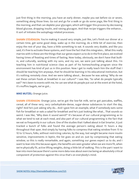just first thing in the morning, you have an early dinner, maybe you eat before six or seven, something along those lines. Go out and go for a walk or go do some yoga, like first thing in the morning, and that can deplete your glycogen, which will trigger this process by decreasing blood glucose, dropping insulin, and raising glucagon. And that recipe triggers the enhance... It sort of initiates the autophagy-related processes.

SHAWN STEVENSON: You're making it sound very simple, just like, Let's finish our dinner at a certain time, get some good sleep, wake up in the morning, do a little bit of exercise, then enjoy the rest of your day, have a little something to eat. It sounds very doable, and like you said, it's free to activate these systems, and I love the fact that this integrates... What this really marries with is these are the things that our genes expect us to do in the first place, we evolved having times of feasting and times of fasting. Now today, obviously, we don't have that builtin, and culturally, working with my sons, and my son, we were just talking about this. I'm teaching him in nutritional science class as part of his homeschooling program since the environment has kind of put us in this position. Now I get to really teach him the stuff that I should be teaching him anyways, that he should be learning in his educational institution, but it's nothing remotely close. And we were talking about... Because he was asking "Why do we eat these certain foods at breakfast in our culture?" I was like, "So what do people typically eat?" He's been to events with me, he can see what do people put out at the event at the hotel, it's muffins bagels, we've got...

#### MIKE MUTZEL: Orange juice.

**SHAWN STEVENSON:** Orange juice, we've got the low-fat milk, we've got pancakes, waffles, cereal, all of these very, very carbohydrate-dense, sugar-dense substances to start the day, right? And he's just asking why do... And I gave him an example, what if somebody eats some fish for breakfast or eats a salad for breakfast and he's just looking like what... That sounds so weird. I was like, "Why does it sound weird?" It's because of our cultural programming as to what we tend to eat at each meal, and also part of our cultural programming is the fact that we eat so frequently in our culture. One of the studies that I talked about in Eat Smarter, it just tracked a bunch of folks and found the average person's eating about 15 hours a day throughout that span. And simply by having folks to compress that eating window from 15 to 10 to 12 hours, folks, without restricting calories, by the way, lost weight became more insulin sensitive, improvements in leptin, the list goes on and on. Just by compressing that eating window, so this is really remarkable, and again, something our genes expect us to do, and I want to lean into this because again, the benefits are seen greater when we are more fit, when we're physically fit, active lifting weights, doing a little bit of walking. This is the part I want to lean into more because there's some more data now about exercise being an absolutely critical component of protection against this virus that's on everybody's mind.

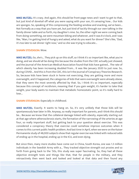MIKE MUTZEL: It's crazy. And again, this should be front-page news and I want to get to that, but just kind of dovetail off what you were saying with your son, it's amazing how... Our kids are sponges. So, speaking of this compressing the feeding window and snacking, we've been... Not formally as a way that you have yet, but just kind of tacitly through our own talking in the family dinner table and so forth, my daughter's nine. So, the other night we were coming back from doing something, we were mountain biking and whatever, and it was 8 o'clock, and I was like, "Man, I'm getting kind of hungry and asked, what do you want for dinner? She's like, "Dad, it's too late to eat dinner right now," and so she was trying to educate...

#### SHAWN STEVENSON: Wow.

MIKE MUTZEL: So, she's... They pick up on this stuff, so I think it's so important like, what you're doing, and we should all be doing this because the studies from the CDC actually just showed, and the Journal of the American Medical Association found that kids have gained... The rate of which obesity has been increasing doubled from... It was like January 2020 to just now. So, during COVID... And this is from the CDC, this isn't the Journal of Conspiracy Theories Research. So, because kids have been stuck in home not exercising, they are getting more and more overweight, and it happened, the categories of kids that were overweight were already obese, that they were the most severely affected by that. So, I think it's so important, especially because this concept of recidivism, meaning that if you gain weight, it's harder to take that weight, your body wants to maintain that metabolic homeostatic point, so it's really hard to lose...

#### **SHAWN STEVENSON: Especially in childhood.**

MIKE MUTZEL: Exactly. It wants to hang on. So, it's very unlikely that those kids will be spontaneously lean later in life. Anyway, so really important for parents, and I think this should be... Because we know that the collateral damage linked with obesity, especially starting out at that age where atherosclerosis starts, the formation of the narrowing of the arteries at age four, so really important stuff, but getting back to your question about exercise. This was considered a conspiracy theory that exercise could somehow improve outcomes when it comes to this current public health problem. And last time in April, when we were on the Kaiser Permanente study of 48,000 subjects show that regular exercise was linked with reduced odds of ending up in the hospital, ending up in the ICU, and even dying.

But since then, many more studies have come out in China, South Korea, one was 1.3 million individuals in the Swedish Army with a... They tracked objective strength out proxies and so forth from going back to the '50s, this study was super fascinating. So, they had all these objective strength tests and things like that, that for people in the military, and they retroactively then went back and looked and looked at that data and then found any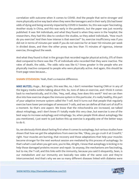correlation with outcome when it comes to COVID. And the people that we're stronger and more physically active way back when they were like teenagers and in their early 20s had lower odds of dying and being severely impacted by COVID in Sweden. So, this was super fascinating. Another study in China, and this was early in the pandemic, but the paper was just recently published. It was 164 individuals, and what they found is when they were in the hospital, the researchers, they had this idea to conduct the studies, so they asked individuals, "How much do you exercise? And then how intense is that exercise?" So, exercise insufficiency was if you did not in terms of minutes per week if you do not exercise for at least 150 minutes per week in divided doses, and then the other proxy was less than 75 minutes of vigorous, intense exercise, throughout the week.

And what they found is that in the groups that recorded regular physical activity, 0% of them died compared to there was like 7% of individuals who recorded that they were inactive. The rates of death, the odds... The odds ratio was like 6.7 times greater in the people who are physically inactive compared to people who were physically active. And again, this should be front-page news because...

**SHAWN STEVENSON:** Yeah, that's a massive difference.

MIKE MUTZEL: Huge... But again, this was like, no, I don't remember hearing CNN or in any of the legacy media outlets talking about this. So, tons of data on exercise, and I think it comes back to mechanistically, and it's like, "Hey, well, okay, how does this work?" And we can then dive into how exercise shapes the immune system in this particular, it's really healthy, this part of your adaptive immune system called the T-cell. And it turns out that people that regularly exercise have lower percentages of senescent T-cells, and we can define all that sort of stuff in a moment. So that's one aspect. We know that the mitochondria are increased, we talked about mitophagy, and I don't know if I totally made this very clear, but exercise is one of the best ways to increase autophagy and mitophagy. So, when people think about autophagy like you mentioned, I just want to just button this up exercise is arguably one of the better ways to do it.

So, we obviously think about fasting first when it comes to autophagy, but various studies have shown that how we get the adaptations from exercise like, "Okay, you go crush it at CrossFit," right. Your muscles are burning, that recovery and those adaptations that help your muscles become stronger for the next workout session are mediated by this process of autophagy. So that's what's cool when you get sore, you're like, Alright, I know that autophagy is kicking in to help those damaged proteins recover and repair. So anyway, the mechanisms are fascinating, but to me, the T-cell, and this links with the immunity, because you said it eloquently, Sean, is our metabolism and our immunity are basically two sides of the same coin and they're interconnected. And that's why we see so many different diseases linked with diabetes were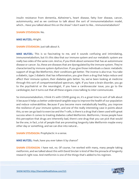insulin resistance from dementia, Alzheimer's, heart disease, fatty liver disease, cancer, autoimmunity, and as we continue to talk about the sort of immunometabolism model, which... Have you talked about this on the show? I don't want to like... Immunometabolism?

#### SHAWN STEVENSON: No.

MIKE MUTZEL: Alright.

#### SHAWN STEVENSON: Just talk about it.

MIKE MUTZEL: This is so fascinating to me, and it sounds confusing and intimidating, immunometabolism, but it's this idea that our immune system and our metabolic system are really two sides of the same coin. And so, if you think about someone that has an autoimmune disease or cancer. So, these are diseases that are dysregulated by the immune system. They're characterized by immune system dysfunction. If you give those individuals a classic metabolic support of drugs like Metformin, their conditions get better. The inverse is also true. You take a diabetic, type 2 diabetic that has inflammation, you give them a drug that helps reduce and affect their immune system, their diabetes gets better. So, we've been looking at medicine through this sort of compartmentalized spectrum, right. If you have a brain disorder, you go to the psychiatrist or the neurologist, if you have a cardiovascular issue, you go to the cardiologist, but it turns out that all these organs cross-talking to inter-communicate.

So immunometabolism, I think it's with COVID going on, it's a great time to sort of talk about it because it helps us better understand tangible ways to improve the health of our population and reduce vulnerabilities. Because if you become more metabolically healthy, you improve the resilience of your immune system, and one of the really interesting case in points about this, so we can go back to exercise and the T-cells, is there is a drug that's been used with great success when it comes to treating diabetes called Metformin. Metformin, I know people have this perception that drugs are inherently bad, there's one drug that you can pick that would be the one, in fact, a lot of people that are promoting longevity take Metformin maybe every other day or something, and we can dive into natural...

**SHAWN STEVENSON: Prophylactic in a sense.** 

MIKE MUTZEL: Yeah, have you ever taken it by chance?

SHAWN STEVENSON: I have not, no. Of course, I've worked with many, many people taking metformin, and we talked about this with David Sinclair is kind of like the pinnacle of longevity research right now. And metformin is one of the things that's added to his regimen.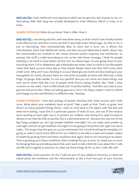MIKE MUTZEL: Yeah, metformin and rapamycin which we can get into. But anyway, to me, it's fascinating. Well, that drug was actually developed to treat influenza. Which is crazy, so to treat...

SHAWN STEVENSON: What do you know? Stop it, Mike. Stop it.

MIKE MUTZEL: I was diving into this, and I was blown away, so that's what it was initially studied to be effective for, and then it turns out that it also helps lower blood sugar. So that to me, is just so fascinating. How mechanistically does its work and it turns out it affects the mitochondria, that's how Metformin works, and then we just talked about earlier about how the mitochondria are involved in the innate immune system response and interferons. So anyway, this stuff is really fascinating to me, so the take-home message, I think for people listening is we need to have better control over our blood sugar. So just going down to your local drug store, CVS or Walgreens, get a blood glucose meter, start to check in just like people check their bank account every day or they should. People check into their FICO score, their credit score. Why aren't you checking in on your blood glucose levels and also looking at your hemoglobin A1c levels, because these are now both accessible at home with little test, a little finger 29 gauge, little needle, it's not very painful? And you can check into these things, and once you're aware that like a lot of people think they're eating healthy, like, "Yeah, I have croutons on my salad, I have a little bread, but I'm pretty healthy." And then you look at your glucose and you're like, "Wow, my fasting glucose is 120 or 110. Okay, maybe I need to rethink and change my diet and lifestyle in a different way." Anyway.

**SHAWN STEVENSON:** I love that analogy of people checking their bank account and credit score. What about your metabolic bank account? Take a peek at that. That's so great. And there's so many powerful things there, I want to circle back to the aspect with the kids and what we're seeing, 'cause this is a particular passion of both of ours, and one of the reasons we're working so hard right now is to protect our children. And seeing this rapid increase in obesity in our kids like that so quickly, this is a demonstration of... Because this was one of the big things, propped up, can't get people healthier overnight. You can really mess people up overnight, and we can get healthier overnight, it's not going to be perfect, but right now we're really... The longer that this goes on, as you mentioned, this is kind of setting the template, it's going to make it much more difficult for our children to be able to reach and sustain a place of health by pushing them into these conditions that again, they're not choosing to be obese. They're growing up in these conditions, that is making this just a norm. So, thank you so much for bringing that up and talking about that, and I want to talk a little bit more about the T-cells and NK-cell in regards to exercise. So, what are these things do for us, the T-cells, NK-cell?

MIKE MUTZEL: Great question. So, the T-cells are part of your adaptive immunity, so when we talked about the interferon and the mitochondria as like a front-line part of your immune

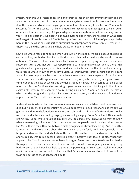system. Your immune system that's kind of bifurcated into the innate immune system and the adaptive immune system. So, the innate immune system doesn't really have much memory, it's either stimulated or it's not, so you get a cut or laceration, you get an infection. Your innate system is first on the scene, it's like an ambulance first responder, it's going to help recruit other cells that are necessary. But your adaptive immune system has all the memory, and so your T-cells are part of your adaptive immune system, and in fact, they're part of what helps us if we get... If people have had COVID like myself and hundreds of millions of people probably here in the US, what helps us sort of surmount an appropriate adaptive immune response is these T-cell, and they cross-talk and help create antibodies as well.

So, this is what's fascinating to me when you turn on the media, we are all about antibodies, so antibodies, antibodies but it's really the T-cell that helps mediate the B-cell to make antibodies. They are really intimately involved in various aspects of aging and also the immune response. It turns out that our T-cell repertoire starts to decline as we age, and so there's this gland called a thymus gland, which is around anatomically near the thyroid, and we undergo this process, what's known as thymic involution. So, this thymus starts to shrink and shrink and again, it's very important because these T-cells regulate so many aspects of our immune system and health and longevity, and that's where they originate, in the thymus gland. Now, it turns out that the rate at which this thymus atrophy or involution occurs is variable based upon our lifestyle. So, if we start smoking cigarettes and we start drinking a bottle of wine every night, if we're not exercising, we're hitting up Chick-fil-A and McDonalds. The rate at which our thymus gland atrophies is increased or accelerated, and that leads to a functionally impaired set of T-cells called immunosenescence.

And so, these T-cells can become senescent. A senescent cell is a cell that should apoptosis and dies, but it doesn't, and so essentially, all of our cells have a finite lifespan. And as we age, we get more and more dysfunctional or senescent cells, and so this kind of differentiates... Helps us better understand chronologic aging versus biologic aging. So, we've all met 40-year-olds, and we go, "Dang, what are you doing? Like, you look great. You know, Sean, I want to know what you're eating. What you... " And then we've met people who are 32 and you think they're like 45. So that is the difference between biologic aging and chronologic aging. And I think this is important, and we've heard about this, where we see a perfectly healthy 40-year-old in the hospital, and we see the media talk about this perfectly healthy person, and we see the picture, and we're like, that to me doesn't look like perfectly healthy. They look a lot older than they appear to be. That is because they're biological aging faster, and these T-cells are involved in this aging process and senescent cells and so forth. So, when we regularly exercise, getting back to exercise and T-cell, we help to purge the percentage of senescent T-cell in our body and in our immune system, and we decrease that. So, exercise as a way to sort of take out the trash and get rid of these senescent T-cells.

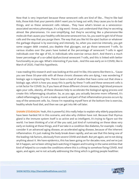Now that is very important because these senescent cells are kind of like... They're like bad kids, those kids that your parents didn't want you to hang out with, they cause you to do bad things, and so these senescent cells release... They have what's known as a senescenceassociated secretory phenotype, it's a big word. I know, just understand that they're secreting almost like pheromones. I'm over-simplifying, but they're secreting like a pheromone-like molecule that causes your healthy cells become senescent too. So, you want to get rid of those cells and the way that you purge them. The way that you like hit the eject button or whatever the garbage disposal is by exercising and intensely. So, when you exercise intensely, you get some oxygen debt created, you deplete that glycogen, out go those senescent T-cells. So various studies over the years have looked at the percentage of senescent T-cells in aged individuals over the age of 65, in individuals who exercise versus don't. And there's a much lower percentage of a so-called dysfunctional senescent T-cells, and this is linked with better functionality as you age. What's interesting if you look... And this was early on in COVID, like in March of 2020, I had this hypothesis.

I was reading this research and I was looking at this and I'm like, this seems like there is... 'Cause you see these 50-year-olds with all these chronic diseases who are dying, I was wondering if biologic age is impacting this. There's been a load of studies that have come out that show a biologic age, which is how you assay this is partly by these T-cells and these senescent cells is a risk factor for COVID. So, if you have all these different chronic diseases, high blood pressure ages your cells, obesity, all these diseases help to accelerate the biological aging process and create this inflammaging situation. So, as you age, you actually become more inflamed, it's called inflammaging, it's not a made-up word, and part of that inflammation process occurs by way of the senescent cells. So, I know I'm repeating myself here at the bottom line is exercise, healthy whole food diet, and then we can get into NK-cell later.

**SHAWN STEVENSON:** Yeah, this is powerful, this really helps to explain why elderly populations have been hardest hit in this scenario, and also why children have not. Because that thymus gland is the immune system itself is so active and so intelligent, it's trying to figure out the world. I've been thinking of a lot of like you said, just kind of ruminating on these ideas very early on looking at these things, and if we take in a condition like diabetes, for example. I really consider it an advanced aging disease, an accelerated aging disease, because of the inherent inflammation. It's just making the body break down rapidly, and we see that this being one of the leading risk factors, obviously from severe COVID and death. But yet again, we're not doing anything about it. We have epidemics, this has been going on for decades now, and we've just let it happen, we've been sitting back watching it happen and trusting in the same entities that kind of helped to co-create the conditions where this is a thing to somehow fixing COVID. And again, and again, we're not actually addressing the thing which is getting people healthier.

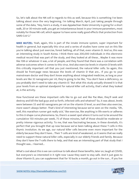So, let's talk about the NK-cell in regards to this as well, because this is something I've been talking about since the very beginning. I'm talking March, April, just taking people through some of the data, "Hey, here's a study, it was Appalachian State University is going for a short walk, 20 or 30-minute walk, you get an instantaneous boost in your immune parameters, most notably for those NK-cell, which appear to have some really good effects that protection from SARS-CoV-2."

MIKE MUTZEL: Yeah, again, this is part of the innate immune system, super important for health in general, but especially this virus and a series of studies have come out on this like you're talking about just exercise, forest bathing, all of that, even vitamin D. And so, this was an interesting study in South Korea. I think there was 200,000 individuals in this electronic medical record that was part of the study, and they looked at all these... Maybe it was more like 108 or whatever it was, a lot of people, and they found that there was a correlation with adverse outcomes when it comes to this virus. And also exercise levels in vitamin D levels with this critically important cell that you just mentioned, the natural killer cells. So again, this should be front-page news because the levels of vitamin D that are... If you go to your mainstream doctor and they don't know anything about integrated medicine, as long as your levels are like 32 nanograms per ml, they're going to be like, "You don't have a deficiency, so you probably don't need to take any vitamin D." But what this study actually showed it is that your levels from an optimal standpoint for natural killer cell activity, that's what they looked at, is the activity.

How functional are these important cells like to go out and like Pac-Man, they'll seek and destroy and kill the bad guys and so forth, infected cells and whatnot? So, it was about, levels were between 55 and 60 nanograms per ml on the vitamin D level, so and then also exercise, more wasn't always better. That's kind of interesting because we've seen on the media, "Oh, well, this marathon runner got really sick," like exercise, like anything in life exerts or adheres to this U-shape curve phenomena. So, there's a sweet spot where it turns out to be around the cumulative 150 minutes per week, 75 of those minutes, half of those should be moderate or pretty intense vigorous activity. To me, that was fascinating because, in these dovetails, it's perfect that you brought that up now because we've been talking about these T-cells in this thymic involution. As we age, our natural killer cells become even more important for the elderly because they don't have... Their T-cells are kind of weakened, so it seems that we really need to support these natural killer cells, especially in our elderly friends and family. Because they don't have the T-cells there to help, and that was an interesting part of that study that I thought was... I learned...

What's cool about this is we can continue to talk about these benefits, later on, laugh at COVID, but everyone's so interested in it right now 'cause they want to stay safe. And it just goes to show Vitamin D, you can supplement that for 10 bucks a month, go out in the sun... If you live

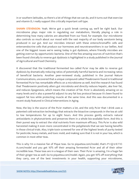in or southern latitudes, so there's a lot of things that we can do, and it turns out that exercise and vitamin D, I really support this critically important cell type.

SHAWN STEVENSON: Yeah. We've got a quick break coming up, we'll be right back. Our microbiome plays major role in regulating our metabolism, literally playing a role in determining how many calories are absorbed from our food, for example. Our microbiome also controls so much about our mood with the vast majority of our body serotonin being produced in our gut. And our microbes interact with these enterochromaffin cells and enteroendocrine cells that produce our hormones and neurotransmitters in our bellies. And one of the biggest issues we're seeing today is gut dysbiosis, where friendly microbes are getting overrun by opportunistic bacteria. One of the few amazing sources of nutrition that's been found clinically to reverse gut dysbiosis is highlighted in a study published in the Journal of Agricultural and Food Chemistry.

It discovered that the traditional fermented tea called Pu'er may be able to reverse gut dysbiosis by dramatically reducing ratios of potentially harmful bacteria and increasing ratios of beneficial bacteria. Another peer-reviewed study, published in the journal Nature Communications, uncovered that a unique compound called Theabrownin found in traditional fermented Pu'er has remarkable effects on a microbiome as well. And the research has found that Theabrownin positively alters gut microbiota and directly reduces hepatic, aka liver fat, and reduces lipogenesis, which means the creation of fat. Pu'er is absolutely amazing on so many levels and is also a powerful adjunct to any fat loss protocol because it's been found to support fat loss while protecting muscle at the same time. And this was documented in a recent study featured in Clinical Interventions in Aging.

Now, the key is the source of the Pu'er matters a lot, and the only Pu'er that I drink uses a patented cold extraction technology that extracts the bioactive compounds in the tea at cold to low temperatures for up to eight hours. And this process gently extracts natural antioxidants in phytonutrients and preserves them in a whole bio-available form. And this is their purest way to extract the vital nutrients from maximum efficacy. This Pu'er is also wild harvested making it even more concentrated in the polyphenols that we see having benefits in those clinical trials. Also, triple toxin screened for one of the highest levels of purity tested for pesticide, heavy metals, and toxic mold, and making sure that it is not in your tea, which is common in most other teas.

This is why I'm a massive fan of Pique teas. Go to piquetea.com/model, that's P-I-Q-U-E-T-E-A.com/model and you get 10% off their amazing fermented Pu'er and all of their other incredible teas. These teas are in a league of their own. Their Pu'er is amazing, I'm a huge fan of their ginger tea as well. Go to piquetea.com/model. Again, you get 10% off everything that they carry, one of the best investments in your health, supporting your microbiome,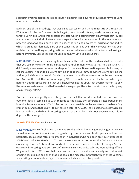supporting your metabolism, it is absolutely amazing. Head over to piquetea.com/model, and now back to the show.

Early on, one of the first drugs that was being worked on and trying to fast track through the FDA, a lot of folks don't know this, but again, I mentioned this very early on, was a drug to target our NK-cell. And it was because the data was indicating pretty clearly that our NK-cell are very important kind of stand-out-ish aspect of our immune system in this scenario, and now this kind of all again been brushed under the rug, and now we're focused on antibodies, which is great. It's definitely part of the conversation, but even this conversation has been mutated into something very dogmatic, and we actually have real-world science on looking at natural immunity versus vaccine-induced immunity. Let's talk about that.

MIKE MUTZEL: This is so fascinating to me because the fact that the media and all the experts that you see on television really discounted natural immunity was to me, mechanistically, it didn't really make sense because... And again, I'm not an anti-vaccination person, but when you get the vaccine, it sounds like you're getting an exogenous immune system, you're getting the antigen, which is a spike protein for which your own natural immune system will make memory too. And so, the fact that we were saying, "Well, the natural course of infection where you naturally get this spike protein that you'll get, if you get the virus, that doesn't matter. It's only the immune system memory that's created when you get the spike protein that's made by way of a messenger RNA."

So that to me was pretty interesting that the fact that we discounted this, but now the outcome data is coming out with regards to the rates, the differential rates between reinfection from a previous COVID infection versus a breakthrough case after you've been fully immunized. And so that study, I think there's a total of 700,000 individuals, maybe it was more in Israel and so... And what's interesting about that particular study... Have you covered this indepth on the show yet?

SHAWN STEVENSON: No. Please do.

MIKE MUTZEL: It's so fascinating to me. And so, this I think it was a game-changer in how we should view natural immunity with regards to green passes and health passes and vaccine passports. Because the rates of re-infection in individuals who had been previously exposed to SARS-CoV-2 prior to March of 2021, so they're accounting for when the Delta variant was circulating. It was a 13 times lower odds of re-infection compared to a breakthrough. So that was really interesting. And so, it sort of makes sense, mechanistically, we were talking offline. Why would this be? We know that these vaccines can reduce disease severity and reduce risk of being hospitalized and all of that, but again, the mechanism through which these vaccines are working is on a single antigen of the virus, which is a s or spike protein.

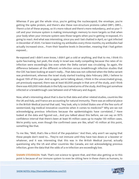Whereas if you get the whole virus, you're getting the nucleocapsid, the envelope, you're getting the spike protein, and there's also these non-structure proteins called ORF1, ORF2... There's a lot of these anyway, so it's more robust and there's more redundancy, and so your Tcell and your immune system is making immunologic memory to more targets so that when your body when your immune system sees those targets when you're getting re-exposed, it's going to react. And what was interesting, since you and I last chatted in April, so I got infected in December of 2020. I've been tracking my antibodies every three months; my antibodies had actually increased since... From their baseline levels in December, meaning that I had gotten exposed...

Re-exposed and I didn't even know, I didn't get a cold or anything, and that to me, I think it's quite fascinating, but yeah, the study in Israel was really compelling because the rates of reinfection were exceedingly low even when the Delta variant was circulating. So again, the difference between all the different re-infection versus breakthrough infection studies that the CDC has been looking at wasn't really... That data was not collected when the Delta variant was predominant, whereas the Israel study started tracking data February 28th, I believe to August 15th of this year. And so again, we're talking about, I think in the unvaccinated group, yet previously exposed, there was at least 60,000 people in that arm of the study, and I think there was 400,000 individuals in the fully vaccinated arms of the study. And they got somehow infected or a breakthrough case between end of February and August.

Now, what's interesting about that is due to that data and other related studies, countries like the UK and Italy, and France are accounting for natural immunity. There was an editorial piece in the British Medical Journal that said, "Hey look, why is United States one of the few sorts of westernized, big medical innovative countries when it comes to medicine?" Why are we not acknowledging previous infections because the epidemiologists have correlated...? Have looked at the data and figured out... And you talked about this before, we can say on 95% confidence interval that there's been at least 95 million cases up to maybe 130 million cases. We're pretty sure, even though the confirmed cases are like, what? 45 million at this point, something like that.

To me like, "Well, that's like a third of the population." And then, why aren't we saying that these people don't need to... They're not immune until they have two doses or a booster or whatever, and it was interesting that this was in the British Medical Journal, actually questioning why the US and other countries like Canada, are not acknowledging previous infection, given the data that the odds of a re-infection are exceedingly low.

**SHAWN STEVENSON:** Yeah. That's not science to ignore that, and then also getting us to this point is because of our immune system to even be sitting here in these chairs as humans, to

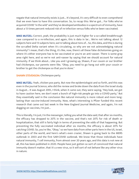negate that natural immunity exists is just... It's beyond, it's very difficult to even comprehend that we even have to have this conversation. So, to recap this: We've got... For folks who've acquired COVID "in the wild" and they've developed antibodies in a spectrum of immunity, have about a 13 times percent reduced risk of re-infection versus folks who've been vaccinated.

**MIKE MUTZEL:** Correct, yeah, the probability is just much higher for a so-called breakthrough case compared to a re-infection, and again, this is data in lar... We're not talking about 12 subjects here and 13 subjects here, we're talking about tens of... So, this data, and this is during the so-called Delta variant when it's circulating, so why are we not acknowledging natural immunity? I mean, that's the thing, it's like, now, there's all these false dichotomies going on where it's either everyone has to be vaccinated or you're an anti-vaxxer. There is some gray area right here, and so we're not anti-vaxxer by saying that we should account for natural immunity. If we think about... Like you and I growing up, Shawn, if our cousin or our brother had chickenpox, our parents were like, "Okay, you need to go hang out with your cousin or brother to get the chickenpox so that you're done."

#### **SHAWN STEVENSON: Chickenpox party.**

MIKE MUTZEL: Yeah, chicken pox party. But now the epidemiologist and so forth, and this was even in the journal Science, who did the review and broke down the data from the Israel study in August... It was August 20th, I think, when it came out, they were saying, "Hey look, we got to have caution here, we don't want a bunch of high-risk people go into a COVID party," But they essentially said in the conclusion like natural immunity is more robust and more longlasting than vaccine-induced immunity. Now, what's interesting is Pfizer funded this recent research that came out last week in the New England Journal Medicine, and again, I'm not dogging on vaccines, I'm just...

This is literally, I'm just, I'm the messenger, telling you what the data said, that after six months, the efficacy has dropped to 20% in the vaccine, and that's not 20% for risk of death or hospitalization, that still is fairly high in terms of preventing the odds of that happening. But preventing the fully vaccinated individual after six months, the efficacy is about 20% for catching COVID. So, you're like, "Okay," so we have data from other parts here in the US, Israel, other parts of the world, and here's what's even crazier, Shawn is going back to the MERS outbreak in 2003 and the first SAR-COVID outbreak. We know that those individuals have natural immunity, T cell immunity, from almost over 20 years ago, and this data is not new at all, this has been published in 2020. People have just gotten so sort of convinced that natural immunity doesn't matter, that it's a new virus, so it will sort of not behave like any other virus in nature.

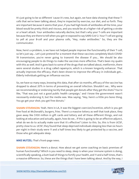It's just going to be so different 'cause it's new, but again, we have data showing that these Tcells that we've been talking about, they're impacted by exercise, our diet, and so forth. They are important because it seems that your, if you had high levels of antibodies all the time, your blood would be pretty thick and viscous, and you would be at a higher risk of getting a stroke or a heart attack. Your antibodies naturally decline, but that's why your T-cells are important because they are there to tell when you get re-exposed to say SARS-CoV-2. Your T-cell are going to yell at your B-cell and your plasma cells, "Hey, make antibodies." So, they are the communicator.

Now, here's a problem, is we have not helped people improve the functionality of their T-cell, so let's just say... Let's just pretend for a moment that these vaccines completely block COVID-19 transmission, you're never going to transmit the disease if you... We should be also encouraging people to do things to make the vaccines more effective. That's been my qualm with this as well. And it goes back to some of the drugs that we talked about, metformin, there were several studies in a drug called rapamycin, which is a known longevity enhancer. That actually improves the efficacy, that's been shown to improve the efficacy in individuals get... Elderly individuals getting an influenza vaccine.

So, we have so many ways, knowing this data, that after six months, efficacy of the vaccine has dropped to about 20% in terms of preventing an overall infection. Shouldn't we... Why were we recommending or endorsing tacitly that people get donuts after they get the shots? You're like, "That was just not a good public health campaign," and I know the government wasn't necessarily endorsing it, but the media was. Was saying, "Hey, here's a little pro bono thing. You go get your shot; you get free donuts."

**SHAWN STEVENSON:** Yeah. Here in LA, it was the biggest coercion/incentive, which is you get free food at McDonald's, burgers, fries. There's a massive lottery as well that took place, they gave away like \$100 million in gift cards and lottery and all these different things, and not looking at education and actually, again, how do we... If this is going to be an effective adjunct, what do we do to actually make sure that it's effective? Listen to this. So, this is from UCSF, pretty close to us. UCSF, they found that sleep-deprived individuals sleeping less than six hours per night in their study were 11 and a half times less likely to get protected by a vaccine, and those who got adequate sleep.

MIKE MUTZEL: That's front-page news.

**SHAWN STEVENSON:** Here's a donut. How about we get some coaching on basic premises of human functionality? Which is you need to sleep, sleep is when your immune system is doing, scientifically speaking, a butt load of things to fortify your health, and 11 and a half times, that's a massive difference. So, these are the things that I have been talking about. And by the way, I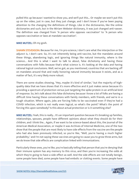pulled this up because I wanted to show you, and we'll put this... Or maybe we won't put this up on the video, just in case, but they just change, and I don't know if you've been paying attention to the changing the definitions of things. Like in the dictionaries, like the online dictionaries and such, but in the Miriam Webster dictionary, it was just changed anti-vaxxer. The definition was changed from "A person who opposes vaccination" to "A person who opposes vaccination or laws at mandate vaccination".

MIKE MUTZEL: Oh my gosh.

SHAWN STEVENSON: Because for me, I'm pro-science, I don't care what the interjection or the adjunct is, I don't care. So, it's not inherently being anti-vaccine, but the mandates around these things, abandoning logic, and ignoring things like natural immunity, where is the science... And this is what I want to talk to about, false dichotomy and having these conversations with folks because that's what science is. It's looking at the data and having rational logical conclusions. Well, we've got, as you mentioned, countries that are backing off on mandates around that and really honoring natural immunity because it exists, and as a matter of fact, it's very likely more robust.

There are some studies showing, "Hey, maybe it's kind of similar," but the majority of highquality data that we have shows that it's more effective and it just makes sense because it's providing a spectrum of protection versus just targeting the spike protein in an artificial kind of response. So, let's talk about this false dichotomy because I know a lot of folks are having a difficult time having these conversations with family members, with friends, and we're in a tough situation. Where again, jobs are forcing folks to be vaccinated even if they've had a COVID infection, which is not really even logical, so what's the point? What's the point of forcing this upon somebody? Is this about actual protection or is it something else?

MIKE MUTZEL: Yeah, this is really... It's an important question because it's breaking up families, relationships, spouses, people have different opinions about what they should do for their children, and I think the... Again, if we want to be science-based about this, the Journal of the American Medical Association, or maybe it was Archives of Internal Medicine, one of the two show that the people that are most likely to have side effects from the vaccine are the people who had also been previously infected, so you're like, "Well, you're having a much higher probability," and I'm not saying these vaccines are going to cause you to grow three arms, but we do know that side effects are complication linked with immunizations.

Particularly these ones, you're like, you're basically telling that person that you're denying that their immune system has any memory to this virus, and then you're increasing the odds at which they're going to have a side effect as well. And the side effects are not totally benign, some people have died, some people have had embolic or clotting events. Some people have

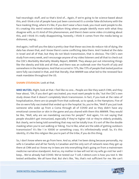had neurologic stuff, and so that's kind of... Again, if we're going to be science-based about this, and I think a lot of people have just been convinced it's a similar false dichotomy with the face masking thing, where it's like, if you don't wear a face mask, you must want people to die. It's creating this weird network tribalism thing where people identify more with what they disagree with, so it's kind of this phenomenon, and there's been some video circulating about this, and I think it's really disappointing, honestly, I think it comes from the media being so dishonest, saying...

And again, I will tell you the data is pretty clear that these vaccines do reduce risk of dying, the data has shown that, and I know there's some conflicting data there. And I looked at the data in Israel and all of that, but they do not block transmission, that is obvious. The CDC's own study from every week, and I encourage anyone of my video listeners and all that to check out the CDC's Morbidity Mortality Weekly Report, MMWR. They always put out interesting things like the obesity and kids and all that, and there was an outbreak over the Fourth of July and somewhere in the Hamptons. And that occurred in 73%, like 73% of people that tested positive were fully vaccinated in that, and that literally, that MMWR was what led to the renewed face mask mandates throughout the US.

#### SHAWN STEVENSON: Look at that.

MIKE MUTZEL: Right, look at that. I feel like no one... People are like they watch CNN, and they hear about, "Oh, if you don't get vaccinated, you must want people to die," but the CDC's own study shows that it doesn't completely block transmission. In fact, if you look at the rates of hospitalization, there are six people from that outbreak, so to speak, in the Hamptons. Five of the six were fully vaccinated that ended up in the hospital. So, you're like, "Well if you just took someone who woke up from a Coma through all of COVID and so they didn't have any emotional connection or skin in the game and you shared with them this MMWR. They would be like, "Well, why are we mandating vaccines for people?" And again, I'm not saying that people shouldn't get immunized, especially if they're higher risk or they're elderly probably. But clearly, we're being told something that may not be totally true. It's sort of like the double masking when you're out walking or hiking. You're like, what are the odds of getting outdoors transmission? It's like 1 in 10000 or something crazy. It's infinitesimally small. So, it's this identity, it's like this religion like you're part of the tribe, if you do this thing.

So, I don't know where we go from here. And so, what I've been doing because personally, my wife is Canadian and all her family is Canadian and the only sort of network news they get up there at CNN and so I know my in-laws are into everything that's going on from a mainstream medicine narrative standpoint. And so, my mother-in-law will not let my wife go visit her and I keep... We've already had COVID. We've tested our T-cell, t-detect.com is how you test it. We tested antibodies. We all have that. But she's like, "No, that's not sufficient for me. We can't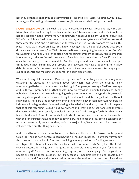have you do that. We need you to get immunized." And she's like, "Mom, I've already, you know." Anyway, so it's creating this weird conversation, it's straining relationships. It's tough.

SHAWN STEVENSON: Oh, man. Yeah, that's so heartbreaking. So heart-breaking. My wife's best friend, her father isn't talking to her because she hasn't been immunized and she's literally the healthiest person in the family by far... And again, it's not about being anti-vaccine, it's just like, "What's the right choice in the scenario based on my immune system, my COVID exposure, all these other factors?" And it's just like, "Get the vaccine or else," which, how are we even in this place? Truly, we started off like, "You know what guys, let's be careful about this. Social distance, wash your hands," to, "Get this vaccination or you're going to lose your job," or "Get this vaccination, or else... " Fill in the blank. And for our government to literally force companies in our society today to fire folks, to have to face litigation themselves or fines if they don't abide by this new government mandate. And the thing is, and this is a very simple principle, this is new. It's not like this has been around for a few years. We have a lot of long-term safety data. As far as that's concerned, we literally have no idea because in a sense it is changing how our cells operate and most instances, some long-term side effects.

When most drugs hit the market, it's on average, and we'll put a study up for everybody who's watching the video, it's on average about four years later when the drug is finally acknowledged to be problematic and recalled, right. Four years, on average. That's on average. And so, the false premise here is that people know exactly what's going to happen and literally nobody on planet Earth knows what's going to happen, nobody. We can hypothesize, we could say things look good so far but if we're being honest about the data, things don't exactly look really good. There are a lot of very concerning things we've never seen before, myocarditis in kids, to such a degree that it's actually being acknowledged. And also, I just did a little piece that as of this recording, I've put it out everywhere and I went and actually analyzed the vaers database, which is unnecessarily complex in and of itself, and I brought forth this thing that's been talked about. Tens of thousands, hundreds of thousands of women with abnormalities with their menstrual cycle, and that was getting brushed under the rug, getting censored per usual. But some really great scientists, again, they're just like, "I'm not anti-vaccine. I went and got vaccinated but this thing happened."

And I talked to some other female friends, scientists, and they were like, "Wow, that happened to me too." And so now, per this recording, the NIH has just launched... I don't know if you saw this, they just launched a big fund and providing almost \$2 million in funding for research to investigate the abnormalities with menstrual cycles for women who've gotten the COVID vaccine because it's a big deal. The question is, why did it take over a year for it to get acknowledged? Because this was happening very early on in the campaign. So, it's great that people are asking these questions but it's because of mediums like this and people really speaking up and forcing the conversation because the entities that are controlling these

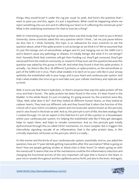things, they would brush it under the rug per usual. So yeah. And here's the question that I want to pose you and this, again, it's just a hypothesis. What could be happening where we inject something into our arm and it's affecting our heart or it's affecting the menstrual cycle? What is the underlying mechanism for that to even be a thing?

Well, it's interesting you bring that up because there was that study that I sent to you in Bristol University. Some scientists asked this very question which I think... Let me just pause before we dive into it. I think, honestly, this topic is so radioactive for even scientists to ask the question about, what if the spike protein is not as benign as we think it is? We've assumed that it's just this benign sort of extracellular antigen and it's just hanging out on the SARS-CoV-2 and it doesn't cause any pathology or disease. It's totally benign. But what if it's not benign? And I honestly think that scientists will get their funding cut, they'll get censored, they'll get ostracized from the medical community or research if they even ask this question because this question was asked by this group in the UK. And what they found is that this spike protein, it actually... So, there's like 28 or 26 different S proteins, or spike proteins, on the extracellular or part of the SARS-CoV-2 virus. That's what enables it to latch on to your cells like in your airway epithelia, the endothelial cells in your lungs, and in your heart and cardiovascular system. And that's what enables the virus to go in and take over your cellular machinery and replicate and so forth.

Well, it turns out that there's hydrolytic, or there's enzymes that snip the spike protein off the virus and that's found... The spike protein has been found in the urine. It's been found in the bladder. In the whole blood, it's just circulating. It's going around. So, the scientists were like, "Okay. Well, what does it do?" And they looked at different human hearts, so they looked at cadaver hearts. They took out different cells and they found that it alters the function of this critical cell in your entire circulatory system and microvascular system known as this pericyte, and it's also found in the brain as well. And so, this pericyte is sort of like, the best analogy that I created through, I'm not an expert in this field but it's sort of like a janitor or a housekeeper within your cardiovascular system. It's helping the endothelial cells like if they get damaged, helps to repair them, and helps to remake connections. And so, this pericyte gets totally dysfunctional through this so-called CD147 mechanism, it's more complex. But it triggers this intercellular signaling cascade of an inflammation, that is the spike protein does, in this critically important cell known as the pericyte, which is a really...

It's like mortar and the bricks of your cardiovascular system, essentially. And so, you asked the question, how are 17-year-old kids getting myocarditis after this vaccination? What is going on here? How are people getting strokes or blood clots in their brain? Or what's going on with the menstrual? It seems that one of the mechanisms could be this inflammatory induction and changing the functional activity of this very important cell type that is found in the heart, in your micro-vessels throughout and the capillaries and so forth, and also in the brain. And again,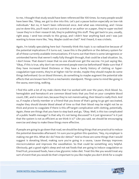to me, I thought that study would have been referenced like 100 times. So many people would have been like, "Okay, we got to dive into this. Let's put a pause button especially on low-risk individuals." But no, it hasn't been referenced once. And what was interesting, and I know you've done this, you'll reach out to a scientist or an author on a paper, they're super excited 'cause they're in their research lab, they're publishing this stuff. They get back to you, usually, right away. I send two emails to this group, and I didn't hear anything back and I was just wanting to know more like, "Hey. Maybe could we chat?" And I heard, it was crickets.

Again, I'm totally speculating here but I honestly think this topic is so radioactive because of the potential implications if it turns out, 'cause this is the platform or the delivery system for all of these currently available immunizations. If it turns out that there is some iatrogenesis or unintended harms that weren't really fully thought through, that could be a bad situation. So, I don't know. That doesn't mean that no one should ever get the vaccine. I'm just saying like, "Okay, if this is true, why don't we recommend people exercise beforehand? Make sure that if they have increased blood thickness or they have a family history of clotting or hypercoagulation type events, they're at higher risk for stroke, maybe they should maybe do some things beforehand. Go on blood thinners, do something to maybe augment the potential side effects that are known here from a mechanistic standpoint. Things come to mind like going in the sauna, exercising, walking.

I find this with a lot of my male clients that I've worked with over the years, thick blood. So, hemoglobin and hematocrit are common blood tests that you find on your complete blood count, CBC, and in most men, because they're not menstruating, their blood is really thick. And so, if maybe a family member or a friend that you know of that's going to go get vaccinated, maybe they should donate blood ahead of time so that their blood may be might not be so thick and prone to coagulate if there is this off-target complication with clotting, potentially. Again, these are things that you have to step back and go, "Okay. Well, is this too complicated of a public health message? Is that why it's not being discussed? Is it just ignorance? Is it just that the system is not as efficient as we think it is?" Like you said, we should be encouraging exercise and sleep to make these things more effective.

If people are going to go down that road, we should be doing things that are practical to reduce the potential downsides afterward. I'm sure you've gotten this question, "Hey, my employer is making me get this. What do I do? How do I detox?" And so those are some things that I would suggest is donating blood, making sure you're going in a sauna, 'cause therapy improves microcirculation and improves the vasodilation. So that could be something very helpful. Obviously, get a good night's sleep and not eat foods that are going to induce coagulation so fried fruit, processed foods, have a low glycemic index diet. Treat this like you would treat any sort of event that you would do that's important to you like maybe you don't drink for a couple

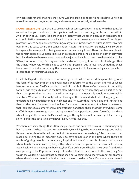of weeks beforehand, making sure you're walking. Doing all these things leading up to it to make it more effective, number one, and also reduce potentially any downsides.

**SHAWN STEVENSON:** Yeah, this is so great. Yeah, of course, I've been flooded with that question as well and as you mentioned, this topic is so radioactive is such a great term to put with it. And for both of us, I know it's bordering on insanity that we are in a situation right now as a culture in 2021 where we are not allowed to have these conversations on many of the biggest platforms where people are conversating. Many of our interactions as humans have traversed over into this space where the conversation, natural immunity, for example, is censored on Instagram, for example. Just being a rational human being, I don't think that has any place in the domain especially... I mean, I believe the average person should be able to have their voice heard and to have these conversations and you just to be able to have the wherewithal of like, "Okay, that sounds crazy. Getting vaccinated and now they've got one butt cheek is bigger than the other," whatever. Which is not to say it's not possible, but to just have something that's like a one-off or just a crazy thing that somebody says, just to have some logic and be able to discern that for yourself as a human.

I think that's part of the problem that we've gotten to where we need this parental figure in the form of our government and social media platforms to be the parent and tell us what's true and what's not. That's a problem in and of itself but I think we've devolved in our ability to think critically as humans in the first place where I can see where they would sort of deem that to be appropriate, but even that still is not appropriate. Especially people who are credible scientists. What we do, I literally just am looking at the data and what I do is I'm going into it understanding we both have cognitive biases and I'm aware that I have a bias and I'm checking them at the door. I'm going in and looking for things to counter what I believe to be true so that I can come to a comprehensive understanding and then share that with everybody. Some stuff right now is so wrong. It's so total opposite of what people are being force-fed that that's when I bring in the humor, that's when I bring in the agitation in it because I just feel it in my spirit like this the data. It clearly shows like 90% of it says this.

Yes, there are some things that... Because you could find data that proves just about anything but it's having the heart to say, "You know what, I'm willing to be wrong. Let me go and look at this and put my bias to the side and look at this as a rational human being." And then from that place also, I think this is important too, is to have compassion in this time where there's so much infighting. People are being very illogical and there's so much distance taking place where family members are fighting with each other, and people are... One incredible person, again healthy human being, her business, her life is built around health. She's been friends with a couple of girls for 10 years and she just found out that she can't come to their wedding. She was in the wedding, now she's not because she's not vaccinated. Or there was another example where there's a vaccinated table that can't dance on the dance floor if you're not vaccinated.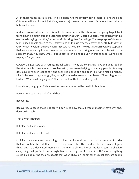All of these things it's just like, Is this logical? Are we actually being logical or are we being CNN-minded? And it's not just CNN, every major news outlet does this where they make us hate each other.

And also, we've talked about this multiple times here on this show and I'm going to pull back from playing it again but, the technical director at CNN, Charlie Chester, was caught with his own words saying that they're purposefully using fear for ratings. They're purposefully using fear to keep people glued to their televisions and this is why they have the death toll ticker on CNN, which I couldn't believe when I first saw it. I was like, "How is this even socially acceptable that we are relenting human lives to these numbers, this ticking number?" And he said in the segment that... You know what, I got to play it. I'm going to put it in this episode. We're going to play it for you guys.

COVID? Gangbusters with ratings, right? Which is why we constantly have the death toll on the side, which I have a major problem with, how we're tallying how many people die every day. 'Cause I've even looked at it and been like looked at it and been like, "Let's make it higher." Like, "Why isn't it high enough, like, today?" It would make our point better if it was higher and I'm like, "What am I rallying for?" That's a problem that we're doing that.

How about you guys at CNN show the recovery rates on the death tolls at least.

Recovery rates. Who's had it? And then...

Recovered.

Recovered. Because that's not scary. I don't see how that... I would imagine that's why they don't do it. Yeah.

That's what I figured.

If it bleeds, it leads. Yeah.

If it bleeds, it leads. I like that.

I think no one ever says those things out loud but it's obvious based on the amount of stories that we do. Like the fact that we have a segment called The Good Stuff, which is a feel-good thing, but it's a dedicated moment at the end to almost like be the ice cream to alleviate everything that you've been through. Like something sweet to end it with 'cause everything else is like doom. And the only people that we will have on the air, for the most part, are people

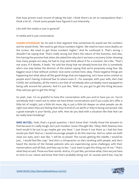that have proven track record of taking the bait. I think there's an art to manipulation that I think a lot of... I think some people have figured it out inherently.

Like with the media or just in general?

In media and in just conversation.

**SHAWN STEVENSON:** So, he said in that segment that sometimes he would see the numbers and he would think, "We need to get those numbers higher. We need to have more deaths on the screen. We need to get those numbers higher." And he confessed it. That's wrong. I shouldn't be saying that. That's really wrong but that's the nature of the business. And also, him having the premise that when she asked him why don't we have a recovery ticker showing how many people are okay, he had to stop and think about it for a moment. He's like, "That's not scary. If it bleeds, it leads." He said the thing that we already know but this is somebody who's one step below the director of the station saying that we're purposely using fear. My biggest issue is fear without context. Give some context here, okay. These negative things are happening but what about all the good things that are happening. Let's have some context so people aren't having irrational fear to where even if... For example, with your wife, she's had COVID, her antibodies, all the metrics are that of somebody who's probably more equipped to being safe around her parents. And it's just like, "Well, no, you got to get this thing because they said you got to get this thing."

So yeah, man. I'm so grateful to have this conversation with you and to have you on. You're somebody that I reach out to when we have these conversations and if you could, let's offer a little bit of insight, just a little bit more, dig in just a little bit deeper on what people can do right now when they are feeling that they're kind of cut adrift or they're being ostracized. Like a good example is your family, your wife. How do you deal with a situation like that that can be really heart-breaking?

MIKE MUTZEL: Yeah, that's a great question. I don't know that I totally know the answers to that because it's really tough, but I just visualize 'cause I thought like, "Okay. Well, Deanna, how hard would it be just to go maybe get one dose." I just threw it out there as I had but how would you feel? And so, I would encourage people to do this exercise. And so, when we both close our eyes, and I was like, "I will be so pissed. The nurses getting the needle, I would be just... I would feel like crap." And she's a chiropractor so she's working with people, and she's heard the stories of the female patients who are experiencing some challenges with their menstruation and all that, and they say to her, "I just want to get this thing out of me." That's what they've said. Those are their words. And so, it's just like, you know what, then we just have to stick to our values and know that that's probably being sort of, sounds weird but, may be

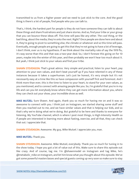transmitted to us from a higher power and we need to just stick to the core. And the good thing is there's a lot of people, find people who you can talk to.

That's, I think, the hardest part for people is they do not have someone they can talk to about these things and share frustrations and just share stories. And so, find your tribe or your group that you can bounce these ideas off. This time will pass like any other. The cool thing, or the bad thing, about the media, they're onto the next. Right? Once people are done here and about it, they're going to pivot to something else, the climate or whatever and so this time will pass. Eventually, enough people are going to get this that they're not going to have a lot of leverage, I don't think, over us is my hypothesis. If we think about the mortality rate of say the 1919 flu, it's way worse than this and that was a two-year deal. So, I don't foresee this going on for 10 years, maybe into the winter of this year, and then probably we won't hear too much about it. But yeah, I think just stick to your values and find your tribe.

**SHAWN STEVENSON:** That's great advice. Very simple and practical, listen to your heart, pay attention to your own values, and don't beat yourself up if you have relented in any of these instances because it takes a superhuman. Let's just be honest, it's very simple but it's not necessarily easy at a time like this so have compassion with yourself first and foremost. And I think more than ever, this is the time to listen to your heart, to stand for your own values, as you mentioned, and to connect with amazing people like you. So, I'm grateful that you're in my life and can you let everybody know where they can get more information about you, where they can check out your show, your incredible show as well.

MIKE MUTZEL: Sure Shawn. And again, thank you so much for having me on and it was so awesome to connect with you. I think just on Instagram, we started sharing some stuff and then you reached out to me, and we have similar values and that is helping our kids, and so that's why we're doing what we're doing. But grateful to be here and thanks to everyone for listening. My YouTube channel, which is where I post most things, is High-Intensity Health so if people are interested in learning more about fasting, exercise, and all that, they can check that out. I appreciate that.

SHAWN STEVENSON: Awesome. My guy, Mike Mutzel. I appreciate you, man.

MIKE MUTZEL: Thank you.

**SHAWN STEVENSON:** Awesome. Mike Mutzel, everybody. Thank you so much for tuning in to the show today. I hope you got a lot of value out of this. Make sure to share this episode out like crazy. And of course, tag me. I'm @shawnmodel on Instagram and tag Mike, he's (ametabolic mike on Instagram, and let him know what you thought about this episode. We've got some powerful masterclasses and special guests coming up very soon so make sure to stay